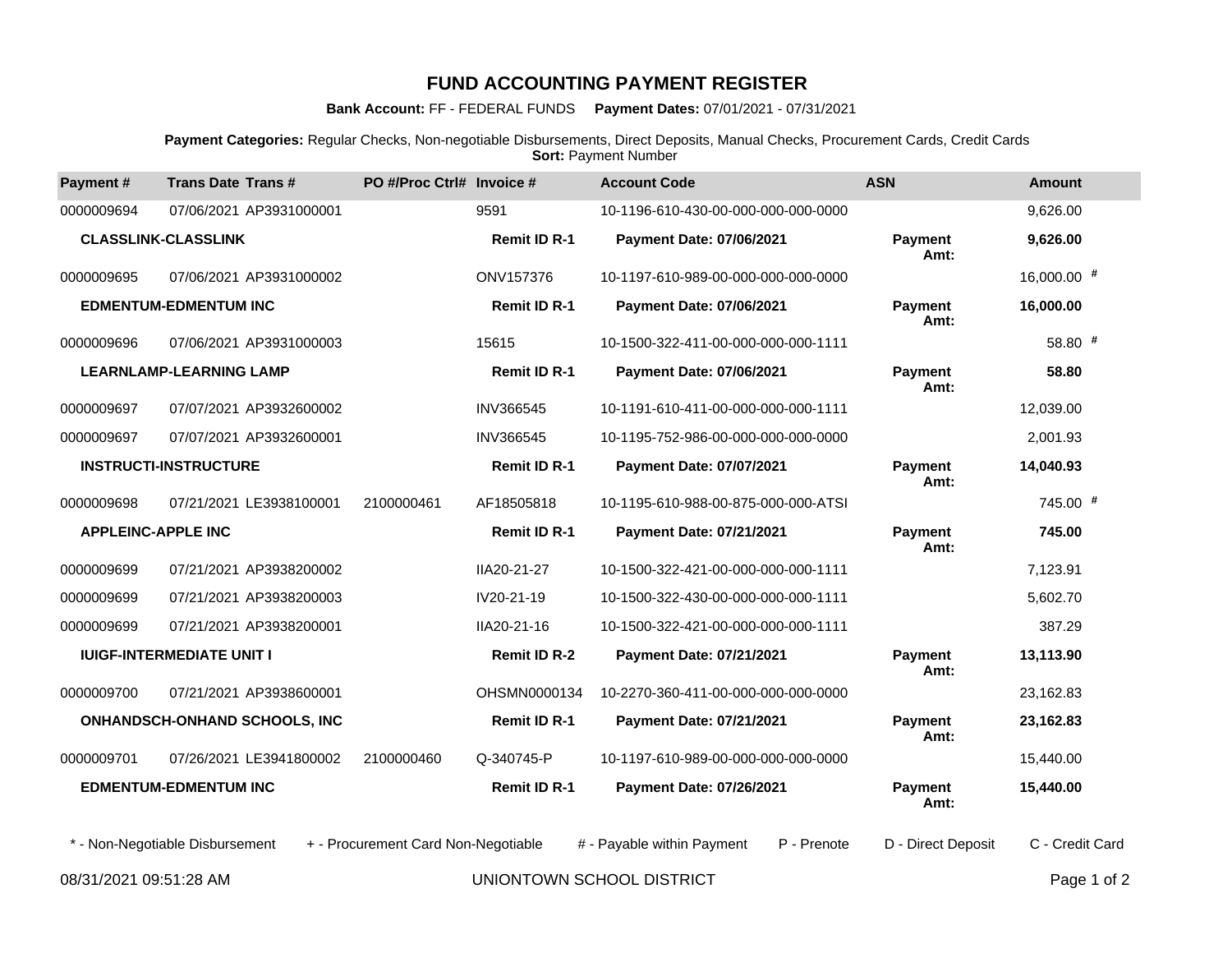## **FUND ACCOUNTING PAYMENT REGISTER**

## **Bank Account:** FF - FEDERAL FUNDS **Payment Dates:** 07/01/2021 - 07/31/2021

**Payment Categories:** Regular Checks, Non-negotiable Disbursements, Direct Deposits, Manual Checks, Procurement Cards, Credit Cards **Sort: Payment Number** 

| Payment #                                           | <b>Trans Date Trans#</b>        | PO #/Proc Ctrl# Invoice #           |                          | <b>Account Code</b>                       | <b>ASN</b>             | <b>Amount</b>   |
|-----------------------------------------------------|---------------------------------|-------------------------------------|--------------------------|-------------------------------------------|------------------------|-----------------|
| 0000009694                                          | 07/06/2021 AP3931000001         |                                     | 9591                     | 10-1196-610-430-00-000-000-000-0000       |                        | 9,626.00        |
| <b>CLASSLINK-CLASSLINK</b>                          |                                 |                                     | <b>Remit ID R-1</b>      | Payment Date: 07/06/2021                  | <b>Payment</b><br>Amt: | 9,626.00        |
| 0000009695                                          | 07/06/2021 AP3931000002         |                                     | ONV157376                | 10-1197-610-989-00-000-000-000-0000       |                        | 16,000.00 #     |
| <b>EDMENTUM-EDMENTUM INC</b>                        |                                 | <b>Remit ID R-1</b>                 | Payment Date: 07/06/2021 | Payment<br>Amt:                           | 16,000.00              |                 |
| 0000009696                                          | 07/06/2021 AP3931000003         |                                     | 15615                    | 10-1500-322-411-00-000-000-000-1111       |                        | 58.80 #         |
| <b>LEARNLAMP-LEARNING LAMP</b>                      |                                 |                                     | <b>Remit ID R-1</b>      | Payment Date: 07/06/2021                  | <b>Payment</b><br>Amt: | 58.80           |
| 0000009697                                          | 07/07/2021 AP3932600002         |                                     | <b>INV366545</b>         | 10-1191-610-411-00-000-000-000-1111       |                        | 12,039.00       |
| 0000009697                                          | 07/07/2021 AP3932600001         |                                     | INV366545                | 10-1195-752-986-00-000-000-000-0000       |                        | 2,001.93        |
| <b>INSTRUCTI-INSTRUCTURE</b>                        |                                 | Remit ID R-1                        | Payment Date: 07/07/2021 | Payment<br>Amt:                           | 14,040.93              |                 |
| 0000009698                                          | 07/21/2021 LE3938100001         | 2100000461                          | AF18505818               | 10-1195-610-988-00-875-000-000-ATSI       |                        | 745.00 #        |
| <b>APPLEINC-APPLE INC</b>                           |                                 | <b>Remit ID R-1</b>                 | Payment Date: 07/21/2021 | Payment<br>Amt:                           | 745.00                 |                 |
| 0000009699                                          | 07/21/2021 AP3938200002         |                                     | IIA20-21-27              | 10-1500-322-421-00-000-000-000-1111       |                        | 7,123.91        |
| 0000009699                                          | 07/21/2021 AP3938200003         |                                     | IV20-21-19               | 10-1500-322-430-00-000-000-000-1111       |                        | 5,602.70        |
| 0000009699                                          | 07/21/2021 AP3938200001         |                                     | IIA20-21-16              | 10-1500-322-421-00-000-000-000-1111       |                        | 387.29          |
| <b>IUIGF-INTERMEDIATE UNIT I</b>                    |                                 | <b>Remit ID R-2</b>                 | Payment Date: 07/21/2021 | <b>Payment</b><br>Amt:                    | 13,113.90              |                 |
| 0000009700                                          | 07/21/2021 AP3938600001         |                                     | OHSMN0000134             | 10-2270-360-411-00-000-000-000-0000       |                        | 23,162.83       |
| ONHANDSCH-ONHAND SCHOOLS, INC                       |                                 |                                     | <b>Remit ID R-1</b>      | Payment Date: 07/21/2021                  | <b>Payment</b><br>Amt: | 23,162.83       |
| 0000009701                                          | 07/26/2021 LE3941800002         | 2100000460                          | Q-340745-P               | 10-1197-610-989-00-000-000-000-0000       |                        | 15,440.00       |
| <b>EDMENTUM-EDMENTUM INC</b>                        |                                 |                                     | <b>Remit ID R-1</b>      | Payment Date: 07/26/2021                  | <b>Payment</b><br>Amt: | 15,440.00       |
|                                                     | * - Non-Negotiable Disbursement | + - Procurement Card Non-Negotiable |                          | # - Payable within Payment<br>P - Prenote | D - Direct Deposit     | C - Credit Card |
| UNIONTOWN SCHOOL DISTRICT<br>08/31/2021 09:51:28 AM |                                 |                                     |                          |                                           |                        | Page 1 of 2     |